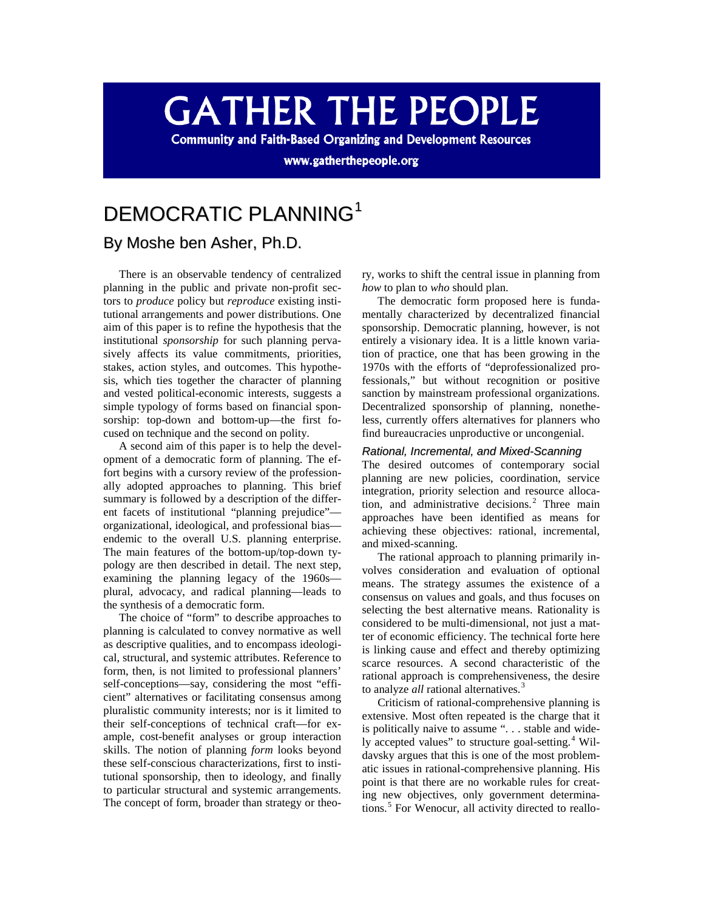# **GATHER THE PEOPLE**

**Community and Faith-Based Organizing and Development Resources** 

www.gatherthepeople.org

# DEMOCRATIC PLANNING<sup>[1](#page-11-0)</sup> By Moshe ben Asher, Ph.D.

There is an observable tendency of centralized planning in the public and private non-profit sectors to *produce* policy but *reproduce* existing institutional arrangements and power distributions. One aim of this paper is to refine the hypothesis that the institutional *sponsorship* for such planning pervasively affects its value commitments, priorities, stakes, action styles, and outcomes. This hypothesis, which ties together the character of planning and vested political-economic interests, suggests a simple typology of forms based on financial sponsorship: top-down and bottom-up—the first focused on technique and the second on polity.

A second aim of this paper is to help the development of a democratic form of planning. The effort begins with a cursory review of the professionally adopted approaches to planning. This brief summary is followed by a description of the different facets of institutional "planning prejudice" organizational, ideological, and professional bias endemic to the overall U.S. planning enterprise. The main features of the bottom-up/top-down typology are then described in detail. The next step, examining the planning legacy of the 1960s plural, advocacy, and radical planning—leads to the synthesis of a democratic form.

The choice of "form" to describe approaches to planning is calculated to convey normative as well as descriptive qualities, and to encompass ideological, structural, and systemic attributes. Reference to form, then, is not limited to professional planners' self-conceptions—say, considering the most "efficient" alternatives or facilitating consensus among pluralistic community interests; nor is it limited to their self-conceptions of technical craft—for example, cost-benefit analyses or group interaction skills. The notion of planning *form* looks beyond these self-conscious characterizations, first to institutional sponsorship, then to ideology, and finally to particular structural and systemic arrangements. The concept of form, broader than strategy or theory, works to shift the central issue in planning from *how* to plan to *who* should plan.

The democratic form proposed here is fundamentally characterized by decentralized financial sponsorship. Democratic planning, however, is not entirely a visionary idea. It is a little known variation of practice, one that has been growing in the 1970s with the efforts of "deprofessionalized professionals," but without recognition or positive sanction by mainstream professional organizations. Decentralized sponsorship of planning, nonetheless, currently offers alternatives for planners who find bureaucracies unproductive or uncongenial.

#### *Rational, Incremental, and Mixed-Scanning*

The desired outcomes of contemporary social planning are new policies, coordination, service integration, priority selection and resource alloca-tion, and administrative decisions.<sup>[2](#page-11-1)</sup> Three main approaches have been identified as means for achieving these objectives: rational, incremental, and mixed-scanning.

The rational approach to planning primarily involves consideration and evaluation of optional means. The strategy assumes the existence of a consensus on values and goals, and thus focuses on selecting the best alternative means. Rationality is considered to be multi-dimensional, not just a matter of economic efficiency. The technical forte here is linking cause and effect and thereby optimizing scarce resources. A second characteristic of the rational approach is comprehensiveness, the desire to analyze *all* rational alternatives.<sup>[3](#page-11-2)</sup>

Criticism of rational-comprehensive planning is extensive. Most often repeated is the charge that it is politically naive to assume ". . . stable and wide-ly accepted values" to structure goal-setting.<sup>[4](#page-11-3)</sup> Wildavsky argues that this is one of the most problematic issues in rational-comprehensive planning. His point is that there are no workable rules for creating new objectives, only government determina-tions.<sup>[5](#page-11-4)</sup> For Wenocur, all activity directed to reallo-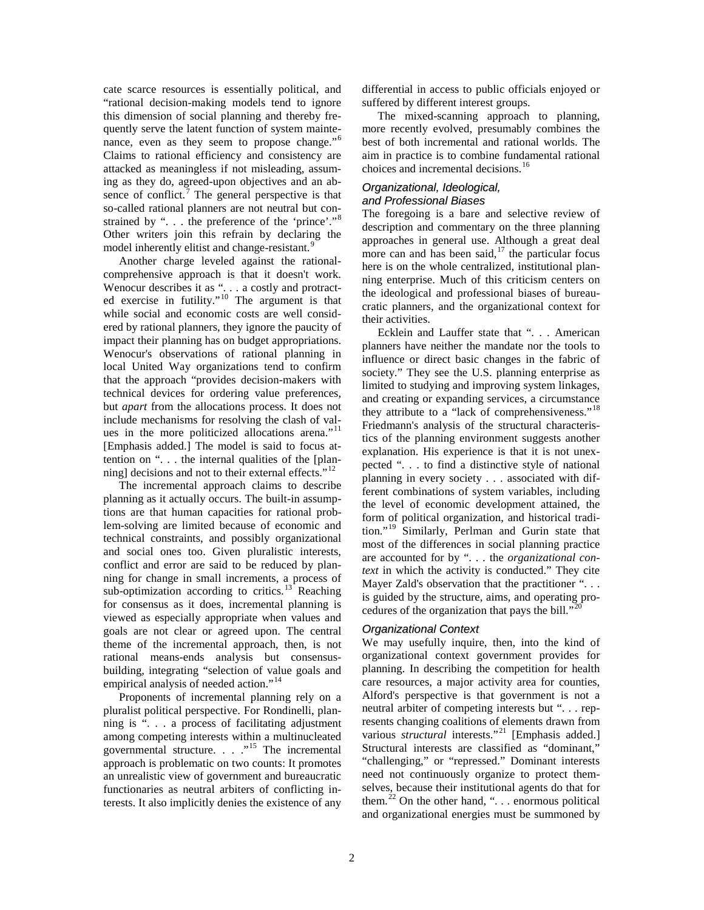cate scarce resources is essentially political, and "rational decision-making models tend to ignore this dimension of social planning and thereby frequently serve the latent function of system mainte-nance, even as they seem to propose change."<sup>[6](#page-12-0)</sup> Claims to rational efficiency and consistency are attacked as meaningless if not misleading, assuming as they do, agreed-upon objectives and an ab-sence of conflict.<sup>[7](#page-12-1)</sup> The general perspective is that so-called rational planners are not neutral but con-strained by "... the preference of the 'prince'."<sup>[8](#page-12-2)</sup> Other writers join this refrain by declaring the model inherently elitist and change-resistant.<sup>[9](#page-12-3)</sup>

Another charge leveled against the rationalcomprehensive approach is that it doesn't work. Wenocur describes it as ". . . a costly and protract-ed exercise in futility."<sup>[10](#page-12-4)</sup> The argument is that while social and economic costs are well considered by rational planners, they ignore the paucity of impact their planning has on budget appropriations. Wenocur's observations of rational planning in local United Way organizations tend to confirm that the approach "provides decision-makers with technical devices for ordering value preferences, but *apart* from the allocations process. It does not include mechanisms for resolving the clash of values in the more politicized allocations arena."[11](#page-12-5) [Emphasis added.] The model is said to focus attention on ". . . the internal qualities of the [planning] decisions and not to their external effects." $12$ 

The incremental approach claims to describe planning as it actually occurs. The built-in assumptions are that human capacities for rational problem-solving are limited because of economic and technical constraints, and possibly organizational and social ones too. Given pluralistic interests, conflict and error are said to be reduced by planning for change in small increments, a process of sub-optimization according to critics.<sup>[13](#page-12-7)</sup> Reaching for consensus as it does, incremental planning is viewed as especially appropriate when values and goals are not clear or agreed upon. The central theme of the incremental approach, then, is not rational means-ends analysis but consensusbuilding, integrating "selection of value goals and empirical analysis of needed action."<sup>[14](#page-12-8)</sup>

Proponents of incremental planning rely on a pluralist political perspective. For Rondinelli, planning is ". . . a process of facilitating adjustment among competing interests within a multinucleated governmental structure.  $\ldots$   $\ldots$  <sup>[15](#page-12-9)</sup>. The incremental approach is problematic on two counts: It promotes an unrealistic view of government and bureaucratic functionaries as neutral arbiters of conflicting interests. It also implicitly denies the existence of any differential in access to public officials enjoyed or suffered by different interest groups.

The mixed-scanning approach to planning, more recently evolved, presumably combines the best of both incremental and rational worlds. The aim in practice is to combine fundamental rational choices and incremental decisions.<sup>[16](#page-13-0)</sup>

# *Organizational, Ideological, and Professional Biases*

The foregoing is a bare and selective review of description and commentary on the three planning approaches in general use. Although a great deal more can and has been said, $17$  the particular focus here is on the whole centralized, institutional planning enterprise. Much of this criticism centers on the ideological and professional biases of bureaucratic planners, and the organizational context for their activities.

Ecklein and Lauffer state that ". . . American planners have neither the mandate nor the tools to influence or direct basic changes in the fabric of society." They see the U.S. planning enterprise as limited to studying and improving system linkages, and creating or expanding services, a circumstance they attribute to a "lack of comprehensiveness."<sup>[18](#page-13-2)</sup> Friedmann's analysis of the structural characteristics of the planning environment suggests another explanation. His experience is that it is not unexpected ". . . to find a distinctive style of national planning in every society . . . associated with different combinations of system variables, including the level of economic development attained, the form of political organization, and historical tradition."[19](#page-13-3) Similarly, Perlman and Gurin state that most of the differences in social planning practice are accounted for by ". . . the *organizational context* in which the activity is conducted." They cite Mayer Zald's observation that the practitioner "... is guided by the structure, aims, and operating procedures of the organization that pays the bill. $"$ <sup>2</sup>

# *Organizational Context*

We may usefully inquire, then, into the kind of organizational context government provides for planning. In describing the competition for health care resources, a major activity area for counties, Alford's perspective is that government is not a neutral arbiter of competing interests but ". . . represents changing coalitions of elements drawn from various *structural* interests."<sup>[21](#page-13-5)</sup> [Emphasis added.] Structural interests are classified as "dominant," "challenging," or "repressed." Dominant interests need not continuously organize to protect themselves, because their institutional agents do that for them.<sup>[22](#page-13-6)</sup> On the other hand, "... enormous political and organizational energies must be summoned by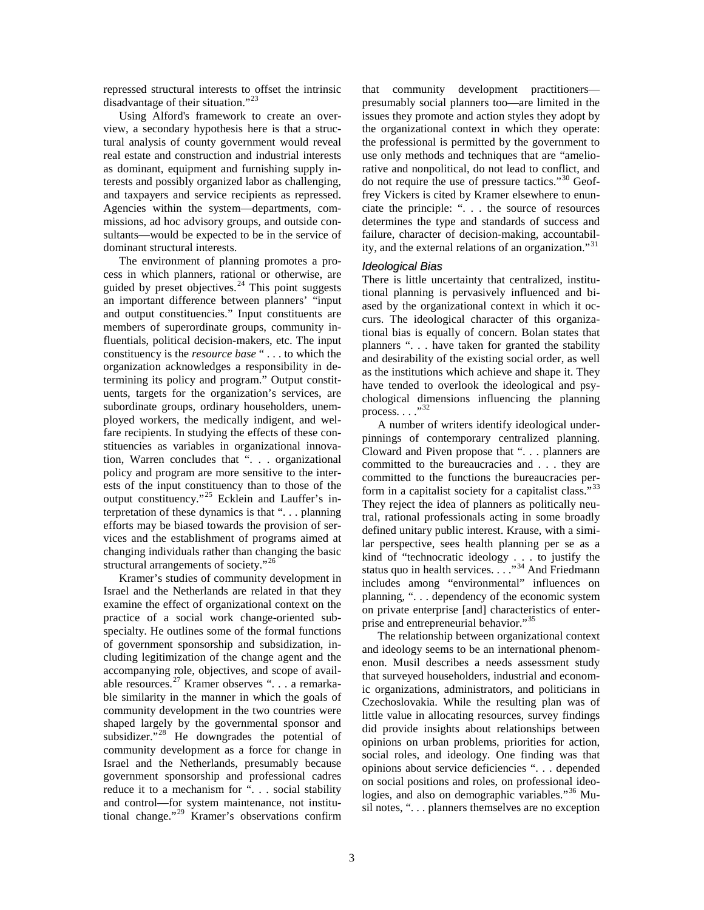repressed structural interests to offset the intrinsic disadvantage of their situation."<sup>[23](#page-13-7)</sup>

Using Alford's framework to create an overview, a secondary hypothesis here is that a structural analysis of county government would reveal real estate and construction and industrial interests as dominant, equipment and furnishing supply interests and possibly organized labor as challenging, and taxpayers and service recipients as repressed. Agencies within the system—departments, commissions, ad hoc advisory groups, and outside consultants—would be expected to be in the service of dominant structural interests.

The environment of planning promotes a process in which planners, rational or otherwise, are guided by preset objectives. $^{24}$  $^{24}$  $^{24}$  This point suggests an important difference between planners' "input and output constituencies." Input constituents are members of superordinate groups, community influentials, political decision-makers, etc. The input constituency is the *resource base* " . . . to which the organization acknowledges a responsibility in determining its policy and program." Output constituents, targets for the organization's services, are subordinate groups, ordinary householders, unemployed workers, the medically indigent, and welfare recipients. In studying the effects of these constituencies as variables in organizational innovation, Warren concludes that ". . . organizational policy and program are more sensitive to the interests of the input constituency than to those of the output constituency."<sup>[25](#page-13-9)</sup> Ecklein and Lauffer's interpretation of these dynamics is that ". . . planning efforts may be biased towards the provision of services and the establishment of programs aimed at changing individuals rather than changing the basic structural arrangements of society."<sup>[26](#page-13-10)</sup>

Kramer's studies of community development in Israel and the Netherlands are related in that they examine the effect of organizational context on the practice of a social work change-oriented subspecialty. He outlines some of the formal functions of government sponsorship and subsidization, including legitimization of the change agent and the accompanying role, objectives, and scope of avail-able resources.<sup>[27](#page-13-11)</sup> Kramer observes ". . . a remarkable similarity in the manner in which the goals of community development in the two countries were shaped largely by the governmental sponsor and subsidizer."<sup>[28](#page-13-12)</sup> He downgrades the potential of community development as a force for change in Israel and the Netherlands, presumably because government sponsorship and professional cadres reduce it to a mechanism for ". . . social stability and control—for system maintenance, not institutional change."[29](#page-13-13) Kramer's observations confirm that community development practitioners presumably social planners too—are limited in the issues they promote and action styles they adopt by the organizational context in which they operate: the professional is permitted by the government to use only methods and techniques that are "ameliorative and nonpolitical, do not lead to conflict, and do not require the use of pressure tactics."[30](#page-13-14) Geoffrey Vickers is cited by Kramer elsewhere to enunciate the principle: ". . . the source of resources determines the type and standards of success and failure, character of decision-making, accountability, and the external relations of an organization."[31](#page-13-15)

#### *Ideological Bias*

There is little uncertainty that centralized, institutional planning is pervasively influenced and biased by the organizational context in which it occurs. The ideological character of this organizational bias is equally of concern. Bolan states that planners ". . . have taken for granted the stability and desirability of the existing social order, as well as the institutions which achieve and shape it. They have tended to overlook the ideological and psychological dimensions influencing the planning process.  $\ldots$ ."[32](#page-13-16)

A number of writers identify ideological underpinnings of contemporary centralized planning. Cloward and Piven propose that ". . . planners are committed to the bureaucracies and . . . they are committed to the functions the bureaucracies perform in a capitalist society for a capitalist class."[33](#page-13-17) They reject the idea of planners as politically neutral, rational professionals acting in some broadly defined unitary public interest. Krause, with a similar perspective, sees health planning per se as a kind of "technocratic ideology . . . to justify the status quo in health services. . . . "<sup>[34](#page-13-18)</sup> And Friedmann includes among "environmental" influences on planning, ". . . dependency of the economic system on private enterprise [and] characteristics of enter-prise and entrepreneurial behavior."<sup>[35](#page-13-19)</sup>

The relationship between organizational context and ideology seems to be an international phenomenon. Musil describes a needs assessment study that surveyed householders, industrial and economic organizations, administrators, and politicians in Czechoslovakia. While the resulting plan was of little value in allocating resources, survey findings did provide insights about relationships between opinions on urban problems, priorities for action, social roles, and ideology. One finding was that opinions about service deficiencies ". . . depended on social positions and roles, on professional ideo-logies, and also on demographic variables."<sup>[36](#page-13-20)</sup> Musil notes, ". . . planners themselves are no exception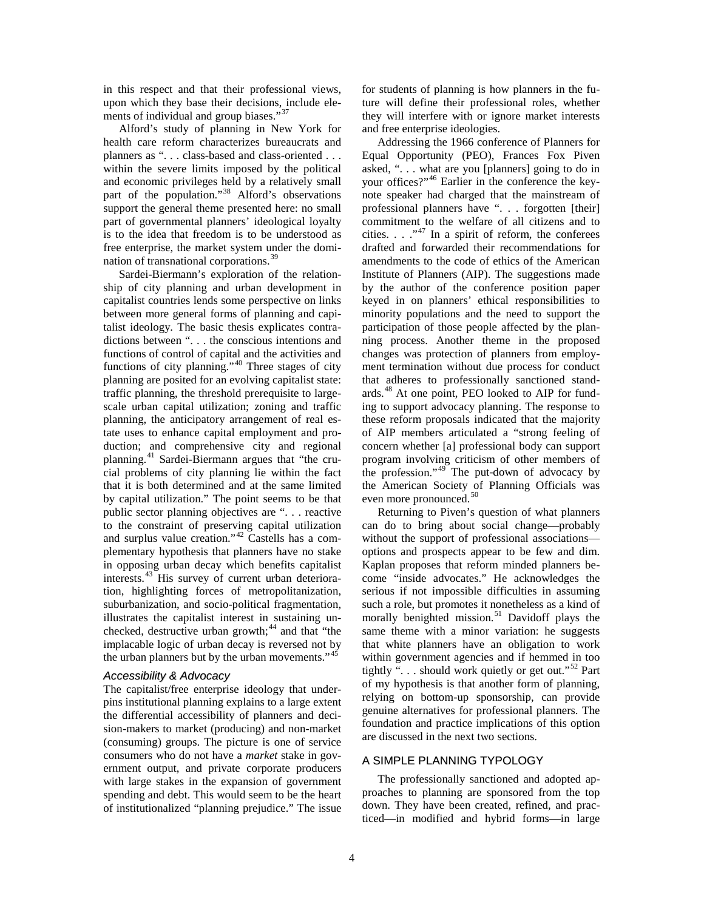in this respect and that their professional views, upon which they base their decisions, include ele-ments of individual and group biases."<sup>[37](#page-13-21)</sup>

Alford's study of planning in New York for health care reform characterizes bureaucrats and planners as ". . . class-based and class-oriented . . . within the severe limits imposed by the political and economic privileges held by a relatively small part of the population."<sup>[38](#page-13-22)</sup> Alford's observations support the general theme presented here: no small part of governmental planners' ideological loyalty is to the idea that freedom is to be understood as free enterprise, the market system under the domination of transnational corporations.[39](#page-13-23)

Sardei-Biermann's exploration of the relationship of city planning and urban development in capitalist countries lends some perspective on links between more general forms of planning and capitalist ideology. The basic thesis explicates contradictions between ". . . the conscious intentions and functions of control of capital and the activities and functions of city planning."[40](#page-13-24) Three stages of city planning are posited for an evolving capitalist state: traffic planning, the threshold prerequisite to largescale urban capital utilization; zoning and traffic planning, the anticipatory arrangement of real estate uses to enhance capital employment and production; and comprehensive city and regional planning.<sup>[41](#page-13-25)</sup> Sardei-Biermann argues that "the crucial problems of city planning lie within the fact that it is both determined and at the same limited by capital utilization." The point seems to be that public sector planning objectives are ". . . reactive to the constraint of preserving capital utilization and surplus value creation."[42](#page-13-26) Castells has a complementary hypothesis that planners have no stake in opposing urban decay which benefits capitalist interests. [43](#page-13-27) His survey of current urban deterioration, highlighting forces of metropolitanization, suburbanization, and socio-political fragmentation, illustrates the capitalist interest in sustaining unchecked, destructive urban growth; $44$  and that "the implacable logic of urban decay is reversed not by the urban planners but by the urban movements."<sup>[45](#page-13-29)</sup>

#### *Accessibility & Advocacy*

The capitalist/free enterprise ideology that underpins institutional planning explains to a large extent the differential accessibility of planners and decision-makers to market (producing) and non-market (consuming) groups. The picture is one of service consumers who do not have a *market* stake in government output, and private corporate producers with large stakes in the expansion of government spending and debt. This would seem to be the heart of institutionalized "planning prejudice." The issue for students of planning is how planners in the future will define their professional roles, whether they will interfere with or ignore market interests and free enterprise ideologies.

Addressing the 1966 conference of Planners for Equal Opportunity (PEO), Frances Fox Piven asked, ". . . what are you [planners] going to do in your offices?"[46](#page-13-30) Earlier in the conference the keynote speaker had charged that the mainstream of professional planners have ". . . forgotten [their] commitment to the welfare of all citizens and to cities.  $\ldots$  ."<sup>[47](#page-13-31)</sup> In a spirit of reform, the conferees drafted and forwarded their recommendations for amendments to the code of ethics of the American Institute of Planners (AIP). The suggestions made by the author of the conference position paper keyed in on planners' ethical responsibilities to minority populations and the need to support the participation of those people affected by the planning process. Another theme in the proposed changes was protection of planners from employment termination without due process for conduct that adheres to professionally sanctioned standards.[48](#page-13-32) At one point, PEO looked to AIP for funding to support advocacy planning. The response to these reform proposals indicated that the majority of AIP members articulated a "strong feeling of concern whether [a] professional body can support program involving criticism of other members of the profession." $49$ <sup>The</sup> put-down of advocacy by the American Society of Planning Officials was even more pronounced.<sup>[50](#page-13-34)</sup>

Returning to Piven's question of what planners can do to bring about social change—probably without the support of professional associations options and prospects appear to be few and dim. Kaplan proposes that reform minded planners become "inside advocates." He acknowledges the serious if not impossible difficulties in assuming such a role, but promotes it nonetheless as a kind of morally benighted mission.<sup>[51](#page-13-35)</sup> Davidoff plays the same theme with a minor variation: he suggests that white planners have an obligation to work within government agencies and if hemmed in too tightly " $\ldots$  should work quietly or get out."<sup>[52](#page-13-36)</sup> Part of my hypothesis is that another form of planning, relying on bottom-up sponsorship, can provide genuine alternatives for professional planners. The foundation and practice implications of this option are discussed in the next two sections.

#### A SIMPLE PLANNING TYPOLOGY

The professionally sanctioned and adopted approaches to planning are sponsored from the top down. They have been created, refined, and practiced—in modified and hybrid forms—in large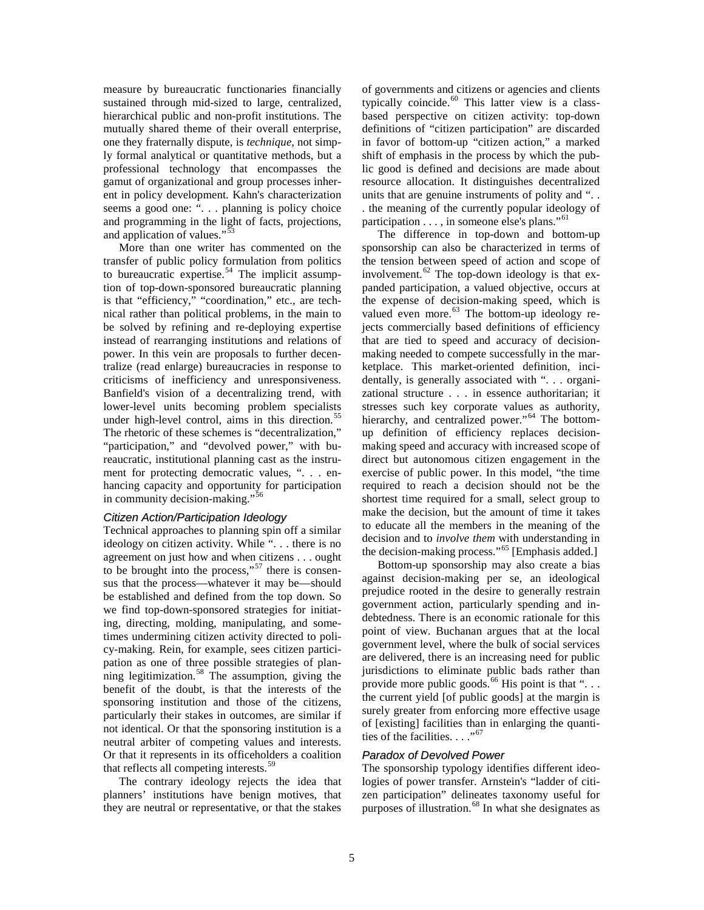measure by bureaucratic functionaries financially sustained through mid-sized to large, centralized, hierarchical public and non-profit institutions. The mutually shared theme of their overall enterprise, one they fraternally dispute, is *technique*, not simply formal analytical or quantitative methods, but a professional technology that encompasses the gamut of organizational and group processes inherent in policy development. Kahn's characterization seems a good one: ". . . planning is policy choice and programming in the light of facts, projections, and application of values."<sup>[53](#page-13-37)</sup>

More than one writer has commented on the transfer of public policy formulation from politics to bureaucratic expertise.<sup>[54](#page-13-38)</sup> The implicit assumption of top-down-sponsored bureaucratic planning is that "efficiency," "coordination," etc., are technical rather than political problems, in the main to be solved by refining and re-deploying expertise instead of rearranging institutions and relations of power. In this vein are proposals to further decentralize (read enlarge) bureaucracies in response to criticisms of inefficiency and unresponsiveness. Banfield's vision of a decentralizing trend, with lower-level units becoming problem specialists under high-level control, aims in this direction.<sup>[55](#page-13-39)</sup> The rhetoric of these schemes is "decentralization," "participation," and "devolved power," with bureaucratic, institutional planning cast as the instrument for protecting democratic values, ". . . enhancing capacity and opportunity for participation in community decision-making."<sup>5</sup>

## *Citizen Action/Participation Ideology*

Technical approaches to planning spin off a similar ideology on citizen activity. While ". . . there is no agreement on just how and when citizens . . . ought to be brought into the process," $57$  there is consensus that the process—whatever it may be—should be established and defined from the top down. So we find top-down-sponsored strategies for initiating, directing, molding, manipulating, and sometimes undermining citizen activity directed to policy-making. Rein, for example, sees citizen participation as one of three possible strategies of plan-ning legitimization.<sup>[58](#page-13-42)</sup> The assumption, giving the benefit of the doubt, is that the interests of the sponsoring institution and those of the citizens, particularly their stakes in outcomes, are similar if not identical. Or that the sponsoring institution is a neutral arbiter of competing values and interests. Or that it represents in its officeholders a coalition that reflects all competing interests.[59](#page-13-43)

The contrary ideology rejects the idea that planners' institutions have benign motives, that they are neutral or representative, or that the stakes

of governments and citizens or agencies and clients typically coincide.<sup>[60](#page-13-44)</sup> This latter view is a classbased perspective on citizen activity: top-down definitions of "citizen participation" are discarded in favor of bottom-up "citizen action," a marked shift of emphasis in the process by which the public good is defined and decisions are made about resource allocation. It distinguishes decentralized units that are genuine instruments of polity and ". . . the meaning of the currently popular ideology of participation  $\dots$ , in someone else's plans."<sup>[61](#page-13-45)</sup>

The difference in top-down and bottom-up sponsorship can also be characterized in terms of the tension between speed of action and scope of involvement.<sup>[62](#page-13-46)</sup> The top-down ideology is that expanded participation, a valued objective, occurs at the expense of decision-making speed, which is valued even more.<sup>[63](#page-13-47)</sup> The bottom-up ideology rejects commercially based definitions of efficiency that are tied to speed and accuracy of decisionmaking needed to compete successfully in the marketplace. This market-oriented definition, incidentally, is generally associated with ". . . organizational structure . . . in essence authoritarian; it stresses such key corporate values as authority, hierarchy, and centralized power."<sup>[64](#page-13-48)</sup> The bottomup definition of efficiency replaces decisionmaking speed and accuracy with increased scope of direct but autonomous citizen engagement in the exercise of public power. In this model, "the time required to reach a decision should not be the shortest time required for a small, select group to make the decision, but the amount of time it takes to educate all the members in the meaning of the decision and to *involve them* with understanding in the decision-making process."<sup>[65](#page-13-49)</sup> [Emphasis added.]

Bottom-up sponsorship may also create a bias against decision-making per se, an ideological prejudice rooted in the desire to generally restrain government action, particularly spending and indebtedness. There is an economic rationale for this point of view. Buchanan argues that at the local government level, where the bulk of social services are delivered, there is an increasing need for public jurisdictions to eliminate public bads rather than provide more public goods.<sup>[66](#page-13-50)</sup> His point is that " $\dots$ the current yield [of public goods] at the margin is surely greater from enforcing more effective usage of [existing] facilities than in enlarging the quanti-ties of the facilities. . . ."<sup>[67](#page-13-51)</sup>

#### *Paradox of Devolved Power*

The sponsorship typology identifies different ideologies of power transfer. Arnstein's "ladder of citizen participation" delineates taxonomy useful for purposes of illustration.<sup>[68](#page-13-52)</sup> In what she designates as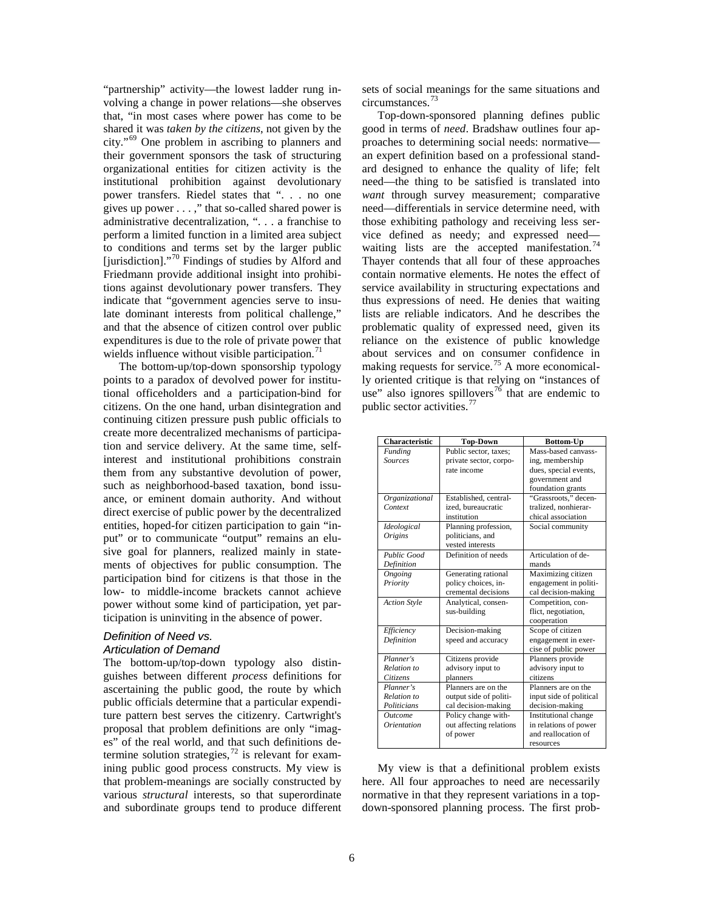"partnership" activity—the lowest ladder rung involving a change in power relations—she observes that, "in most cases where power has come to be shared it was *taken by the citizens*, not given by the city."[69](#page-13-53) One problem in ascribing to planners and their government sponsors the task of structuring organizational entities for citizen activity is the institutional prohibition against devolutionary power transfers. Riedel states that ". . . no one gives up power  $\dots$ ," that so-called shared power is administrative decentralization, ". . . a franchise to perform a limited function in a limited area subject to conditions and terms set by the larger public [jurisdiction]."<sup>[70](#page-13-54)</sup> Findings of studies by Alford and Friedmann provide additional insight into prohibitions against devolutionary power transfers. They indicate that "government agencies serve to insulate dominant interests from political challenge," and that the absence of citizen control over public expenditures is due to the role of private power that wields influence without visible participation. $\frac{71}{2}$  $\frac{71}{2}$  $\frac{71}{2}$ 

The bottom-up/top-down sponsorship typology points to a paradox of devolved power for institutional officeholders and a participation-bind for citizens. On the one hand, urban disintegration and continuing citizen pressure push public officials to create more decentralized mechanisms of participation and service delivery. At the same time, selfinterest and institutional prohibitions constrain them from any substantive devolution of power, such as neighborhood-based taxation, bond issuance, or eminent domain authority. And without direct exercise of public power by the decentralized entities, hoped-for citizen participation to gain "input" or to communicate "output" remains an elusive goal for planners, realized mainly in statements of objectives for public consumption. The participation bind for citizens is that those in the low- to middle-income brackets cannot achieve power without some kind of participation, yet participation is uninviting in the absence of power.

# *Definition of Need vs. Articulation of Demand*

The bottom-up/top-down typology also distinguishes between different *process* definitions for ascertaining the public good, the route by which public officials determine that a particular expenditure pattern best serves the citizenry. Cartwright's proposal that problem definitions are only "images" of the real world, and that such definitions determine solution strategies,  $^{72}$  $^{72}$  $^{72}$  is relevant for examining public good process constructs. My view is that problem-meanings are socially constructed by various *structural* interests, so that superordinate and subordinate groups tend to produce different sets of social meanings for the same situations and circumstances.[73](#page-13-57)

Top-down-sponsored planning defines public good in terms of *need*. Bradshaw outlines four approaches to determining social needs: normative an expert definition based on a professional standard designed to enhance the quality of life; felt need—the thing to be satisfied is translated into *want* through survey measurement; comparative need—differentials in service determine need, with those exhibiting pathology and receiving less service defined as needy; and expressed need— waiting lists are the accepted manifestation.<sup>[74](#page-13-58)</sup> Thayer contends that all four of these approaches contain normative elements. He notes the effect of service availability in structuring expectations and thus expressions of need. He denies that waiting lists are reliable indicators. And he describes the problematic quality of expressed need, given its reliance on the existence of public knowledge about services and on consumer confidence in making requests for service.<sup>[75](#page-13-59)</sup> A more economically oriented critique is that relying on "instances of use" also ignores spillovers<sup>[76](#page-13-60)</sup> that are endemic to public sector activities.<sup>[77](#page-13-61)</sup>

| <b>Characteristic</b> | <b>Top-Down</b>         | <b>Bottom-Up</b>        |
|-----------------------|-------------------------|-------------------------|
| Funding               | Public sector, taxes;   | Mass-based canvass-     |
| <b>Sources</b>        | private sector, corpo-  | ing, membership         |
|                       | rate income             | dues, special events,   |
|                       |                         | government and          |
|                       |                         | foundation grants       |
| Organizational        | Established, central-   | "Grassroots," decen-    |
| Context               | ized, bureaucratic      | tralized, nonhierar-    |
|                       | institution             | chical association      |
| Ideological           | Planning profession,    | Social community        |
| <i>Origins</i>        | politicians, and        |                         |
|                       | vested interests        |                         |
| <b>Public Good</b>    | Definition of needs     | Articulation of de-     |
| Definition            |                         | mands                   |
| <b>Ongoing</b>        | Generating rational     | Maximizing citizen      |
| Priority              | policy choices, in-     | engagement in politi-   |
|                       | cremental decisions     | cal decision-making     |
| <b>Action Style</b>   | Analytical, consen-     | Competition, con-       |
|                       | sus-building            | flict, negotiation,     |
|                       |                         | cooperation             |
| Efficiency            | Decision-making         | Scope of citizen        |
| Definition            | speed and accuracy      | engagement in exer-     |
|                       |                         | cise of public power    |
| Planner's             | Citizens provide        | Planners provide        |
| Relation to           | advisory input to       | advisory input to       |
| Citizens              | planners                | citizens                |
| Planner's             | Planners are on the     | Planners are on the     |
| Relation to           | output side of politi-  | input side of political |
| Politicians           | cal decision-making     | decision-making         |
| Outcome               | Policy change with-     | Institutional change    |
| Orientation           | out affecting relations | in relations of power   |
|                       | of power                | and reallocation of     |
|                       |                         | resources               |

My view is that a definitional problem exists here. All four approaches to need are necessarily normative in that they represent variations in a topdown-sponsored planning process. The first prob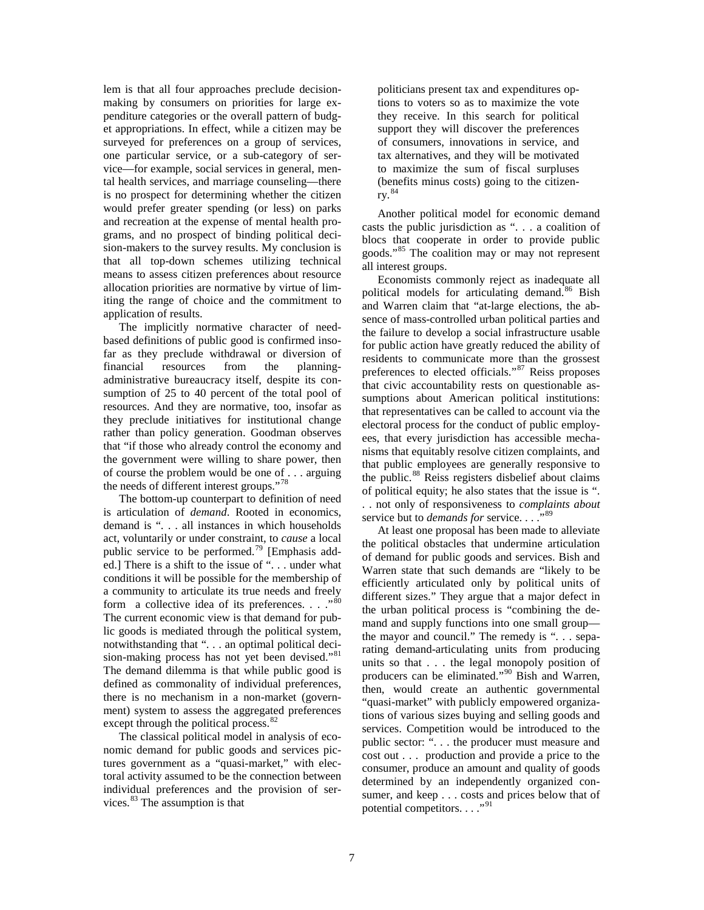lem is that all four approaches preclude decisionmaking by consumers on priorities for large expenditure categories or the overall pattern of budget appropriations. In effect, while a citizen may be surveyed for preferences on a group of services, one particular service, or a sub-category of service—for example, social services in general, mental health services, and marriage counseling—there is no prospect for determining whether the citizen would prefer greater spending (or less) on parks and recreation at the expense of mental health programs, and no prospect of binding political decision-makers to the survey results. My conclusion is that all top-down schemes utilizing technical means to assess citizen preferences about resource allocation priorities are normative by virtue of limiting the range of choice and the commitment to application of results.

The implicitly normative character of needbased definitions of public good is confirmed insofar as they preclude withdrawal or diversion of financial resources from the planningadministrative bureaucracy itself, despite its consumption of 25 to 40 percent of the total pool of resources. And they are normative, too, insofar as they preclude initiatives for institutional change rather than policy generation. Goodman observes that "if those who already control the economy and the government were willing to share power, then of course the problem would be one of . . . arguing the needs of different interest groups."<sup>[78](#page-13-62)</sup>

The bottom-up counterpart to definition of need is articulation of *demand*. Rooted in economics, demand is ". . . all instances in which households act, voluntarily or under constraint, to *cause* a local public service to be performed.<sup>[79](#page-13-63)</sup> [Emphasis added.] There is a shift to the issue of "... under what conditions it will be possible for the membership of a community to articulate its true needs and freely form a collective idea of its preferences.  $\ldots$ ."<sup>[80](#page-13-64)</sup> The current economic view is that demand for public goods is mediated through the political system, notwithstanding that ". . . an optimal political deci-sion-making process has not yet been devised."<sup>[81](#page-13-65)</sup> The demand dilemma is that while public good is defined as commonality of individual preferences, there is no mechanism in a non-market (government) system to assess the aggregated preferences except through the political process.<sup>[82](#page-13-29)</sup>

The classical political model in analysis of economic demand for public goods and services pictures government as a "quasi-market," with electoral activity assumed to be the connection between individual preferences and the provision of services.[83](#page-13-30) The assumption is that

politicians present tax and expenditures options to voters so as to maximize the vote they receive. In this search for political support they will discover the preferences of consumers, innovations in service, and tax alternatives, and they will be motivated to maximize the sum of fiscal surpluses (benefits minus costs) going to the citizenry.[84](#page-13-31)

Another political model for economic demand casts the public jurisdiction as ". . . a coalition of blocs that cooperate in order to provide public goods."[85](#page-13-32) The coalition may or may not represent all interest groups.

Economists commonly reject as inadequate all political models for articulating demand.<sup>[86](#page-13-33)</sup> Bish and Warren claim that "at-large elections, the absence of mass-controlled urban political parties and the failure to develop a social infrastructure usable for public action have greatly reduced the ability of residents to communicate more than the grossest preferences to elected officials."[87](#page-13-34) Reiss proposes that civic accountability rests on questionable assumptions about American political institutions: that representatives can be called to account via the electoral process for the conduct of public employees, that every jurisdiction has accessible mechanisms that equitably resolve citizen complaints, and that public employees are generally responsive to the public.<sup>[88](#page-13-66)</sup> Reiss registers disbelief about claims of political equity; he also states that the issue is ". . . not only of responsiveness to *complaints about* service but to *demands for* service. . . .<sup>[89](#page-13-67)</sup>

At least one proposal has been made to alleviate the political obstacles that undermine articulation of demand for public goods and services. Bish and Warren state that such demands are "likely to be efficiently articulated only by political units of different sizes." They argue that a major defect in the urban political process is "combining the demand and supply functions into one small group the mayor and council." The remedy is ". . . separating demand-articulating units from producing units so that . . . the legal monopoly position of producers can be eliminated."[90](#page-13-35) Bish and Warren, then, would create an authentic governmental "quasi-market" with publicly empowered organizations of various sizes buying and selling goods and services. Competition would be introduced to the public sector: ". . . the producer must measure and cost out . . . production and provide a price to the consumer, produce an amount and quality of goods determined by an independently organized consumer, and keep . . . costs and prices below that of potential competitors.  $\ldots$ <sup>"[91](#page-13-68)</sup>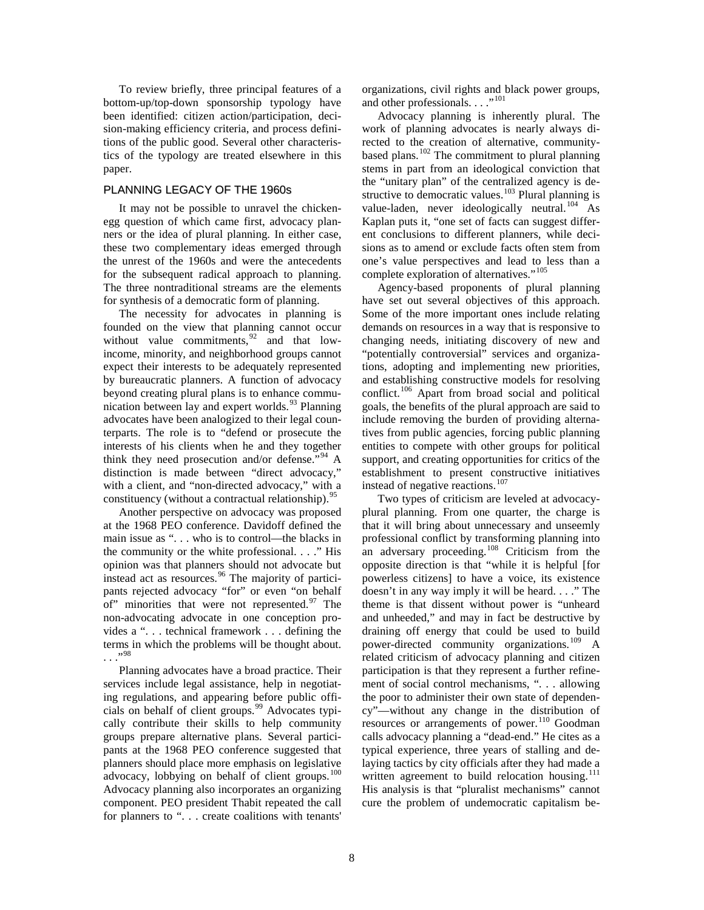To review briefly, three principal features of a bottom-up/top-down sponsorship typology have been identified: citizen action/participation, decision-making efficiency criteria, and process definitions of the public good. Several other characteristics of the typology are treated elsewhere in this paper.

# PLANNING LEGACY OF THE 1960s

It may not be possible to unravel the chickenegg question of which came first, advocacy planners or the idea of plural planning. In either case, these two complementary ideas emerged through the unrest of the 1960s and were the antecedents for the subsequent radical approach to planning. The three nontraditional streams are the elements for synthesis of a democratic form of planning.

The necessity for advocates in planning is founded on the view that planning cannot occur without value commitments,  $92$  and that lowincome, minority, and neighborhood groups cannot expect their interests to be adequately represented by bureaucratic planners. A function of advocacy beyond creating plural plans is to enhance communication between lay and expert worlds. $93$  Planning advocates have been analogized to their legal counterparts. The role is to "defend or prosecute the interests of his clients when he and they together think they need prosecution and/or defense."<sup>[94](#page-13-38)</sup> A distinction is made between "direct advocacy," with a client, and "non-directed advocacy," with a constituency (without a contractual relationship).  $95$ 

Another perspective on advocacy was proposed at the 1968 PEO conference. Davidoff defined the main issue as ". . . who is to control—the blacks in the community or the white professional. . . ." His opinion was that planners should not advocate but instead act as resources.<sup>[96](#page-13-71)</sup> The majority of participants rejected advocacy "for" or even "on behalf of" minorities that were not represented. $97$  The non-advocating advocate in one conception provides a ". . . technical framework . . . defining the terms in which the problems will be thought about.  $\ldots$ <sup>[98](#page-13-39)</sup>

Planning advocates have a broad practice. Their services include legal assistance, help in negotiating regulations, and appearing before public offi-cials on behalf of client groups.<sup>[99](#page-13-40)</sup> Advocates typically contribute their skills to help community groups prepare alternative plans. Several participants at the 1968 PEO conference suggested that planners should place more emphasis on legislative advocacy, lobbying on behalf of client groups.<sup>[100](#page-13-41)</sup> Advocacy planning also incorporates an organizing component. PEO president Thabit repeated the call for planners to ". . . create coalitions with tenants'

organizations, civil rights and black power groups, and other professionals. . . ."<sup>[101](#page-13-73)</sup>

Advocacy planning is inherently plural. The work of planning advocates is nearly always directed to the creation of alternative, community-based plans.<sup>[102](#page-13-42)</sup> The commitment to plural planning stems in part from an ideological conviction that the "unitary plan" of the centralized agency is de-structive to democratic values.<sup>[103](#page-13-74)</sup> Plural planning is value-laden, never ideologically neutral.<sup>[104](#page-13-75)</sup> As Kaplan puts it, "one set of facts can suggest different conclusions to different planners, while decisions as to amend or exclude facts often stem from one's value perspectives and lead to less than a complete exploration of alternatives."<sup>[105](#page-13-43)</sup>

Agency-based proponents of plural planning have set out several objectives of this approach. Some of the more important ones include relating demands on resources in a way that is responsive to changing needs, initiating discovery of new and "potentially controversial" services and organizations, adopting and implementing new priorities, and establishing constructive models for resolving conflict.<sup>[106](#page-13-76)</sup> Apart from broad social and political goals, the benefits of the plural approach are said to include removing the burden of providing alternatives from public agencies, forcing public planning entities to compete with other groups for political support, and creating opportunities for critics of the establishment to present constructive initiatives instead of negative reactions.<sup>[107](#page-13-44)</sup>

Two types of criticism are leveled at advocacyplural planning. From one quarter, the charge is that it will bring about unnecessary and unseemly professional conflict by transforming planning into an adversary proceeding.<sup>[108](#page-13-45)</sup> Criticism from the opposite direction is that "while it is helpful [for powerless citizens] to have a voice, its existence doesn't in any way imply it will be heard. . . ." The theme is that dissent without power is "unheard and unheeded," and may in fact be destructive by draining off energy that could be used to build power-directed community organizations.[109](#page-13-77) A related criticism of advocacy planning and citizen participation is that they represent a further refinement of social control mechanisms, ". . . allowing the poor to administer their own state of dependency"—without any change in the distribution of resources or arrangements of power.<sup>[110](#page-13-78)</sup> Goodman calls advocacy planning a "dead-end." He cites as a typical experience, three years of stalling and delaying tactics by city officials after they had made a written agreement to build relocation housing.<sup>[111](#page-13-79)</sup> His analysis is that "pluralist mechanisms" cannot cure the problem of undemocratic capitalism be-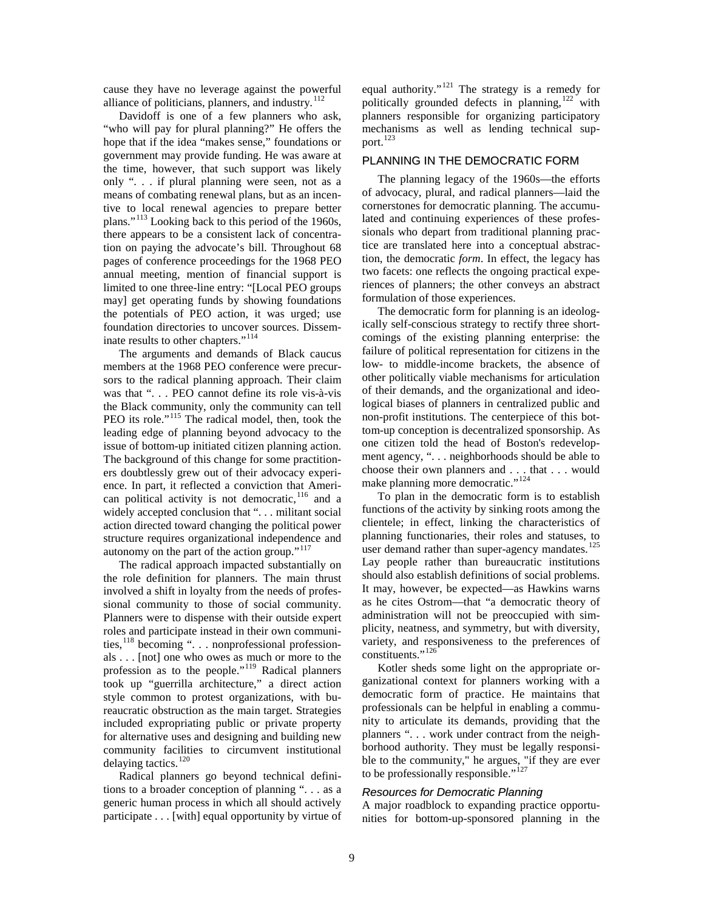cause they have no leverage against the powerful alliance of politicians, planners, and industry. $112$ 

Davidoff is one of a few planners who ask, "who will pay for plural planning?" He offers the hope that if the idea "makes sense," foundations or government may provide funding. He was aware at the time, however, that such support was likely only ". . . if plural planning were seen, not as a means of combating renewal plans, but as an incentive to local renewal agencies to prepare better plans."[113](#page-13-81) Looking back to this period of the 1960s, there appears to be a consistent lack of concentration on paying the advocate's bill. Throughout 68 pages of conference proceedings for the 1968 PEO annual meeting, mention of financial support is limited to one three-line entry: "[Local PEO groups may] get operating funds by showing foundations the potentials of PEO action, it was urged; use foundation directories to uncover sources. Dissem-inate results to other chapters."<sup>[114](#page-13-46)</sup>

The arguments and demands of Black caucus members at the 1968 PEO conference were precursors to the radical planning approach. Their claim was that ". . . PEO cannot define its role vis-à-vis the Black community, only the community can tell PEO its role."<sup>[115](#page-13-47)</sup> The radical model, then, took the leading edge of planning beyond advocacy to the issue of bottom-up initiated citizen planning action. The background of this change for some practitioners doubtlessly grew out of their advocacy experience. In part, it reflected a conviction that American political activity is not democratic,  $116$  and a widely accepted conclusion that "... militant social action directed toward changing the political power structure requires organizational independence and autonomy on the part of the action group."[117](#page-13-48)

The radical approach impacted substantially on the role definition for planners. The main thrust involved a shift in loyalty from the needs of professional community to those of social community. Planners were to dispense with their outside expert roles and participate instead in their own communi-ties,<sup>[118](#page-13-49)</sup> becoming ". . . nonprofessional professionals . . . [not] one who owes as much or more to the profession as to the people."[119](#page-13-50) Radical planners took up "guerrilla architecture," a direct action style common to protest organizations, with bureaucratic obstruction as the main target. Strategies included expropriating public or private property for alternative uses and designing and building new community facilities to circumvent institutional delaying tactics. $120$ 

Radical planners go beyond technical definitions to a broader conception of planning ". . . as a generic human process in which all should actively participate . . . [with] equal opportunity by virtue of equal authority."<sup>[121](#page-13-51)</sup> The strategy is a remedy for politically grounded defects in planning,[122](#page-13-52) with planners responsible for organizing participatory mechanisms as well as lending technical support. [123](#page-13-84)

#### PLANNING IN THE DEMOCRATIC FORM

The planning legacy of the 1960s—the efforts of advocacy, plural, and radical planners—laid the cornerstones for democratic planning. The accumulated and continuing experiences of these professionals who depart from traditional planning practice are translated here into a conceptual abstraction, the democratic *form*. In effect, the legacy has two facets: one reflects the ongoing practical experiences of planners; the other conveys an abstract formulation of those experiences.

The democratic form for planning is an ideologically self-conscious strategy to rectify three shortcomings of the existing planning enterprise: the failure of political representation for citizens in the low- to middle-income brackets, the absence of other politically viable mechanisms for articulation of their demands, and the organizational and ideological biases of planners in centralized public and non-profit institutions. The centerpiece of this bottom-up conception is decentralized sponsorship. As one citizen told the head of Boston's redevelopment agency, ". . . neighborhoods should be able to choose their own planners and . . . that . . . would make planning more democratic."<sup>[124](#page-13-53)</sup>

To plan in the democratic form is to establish functions of the activity by sinking roots among the clientele; in effect, linking the characteristics of planning functionaries, their roles and statuses, to user demand rather than super-agency mandates.<sup>[125](#page-13-54)</sup> Lay people rather than bureaucratic institutions should also establish definitions of social problems. It may, however, be expected—as Hawkins warns as he cites Ostrom—that "a democratic theory of administration will not be preoccupied with simplicity, neatness, and symmetry, but with diversity, variety, and responsiveness to the preferences of constituents."<sup>[126](#page-13-85)</sup>

Kotler sheds some light on the appropriate organizational context for planners working with a democratic form of practice. He maintains that professionals can be helpful in enabling a community to articulate its demands, providing that the planners ". . . work under contract from the neighborhood authority. They must be legally responsible to the community," he argues, "if they are ever to be professionally responsible."<sup>[127](#page-13-86)</sup>

### *Resources for Democratic Planning*

A major roadblock to expanding practice opportunities for bottom-up-sponsored planning in the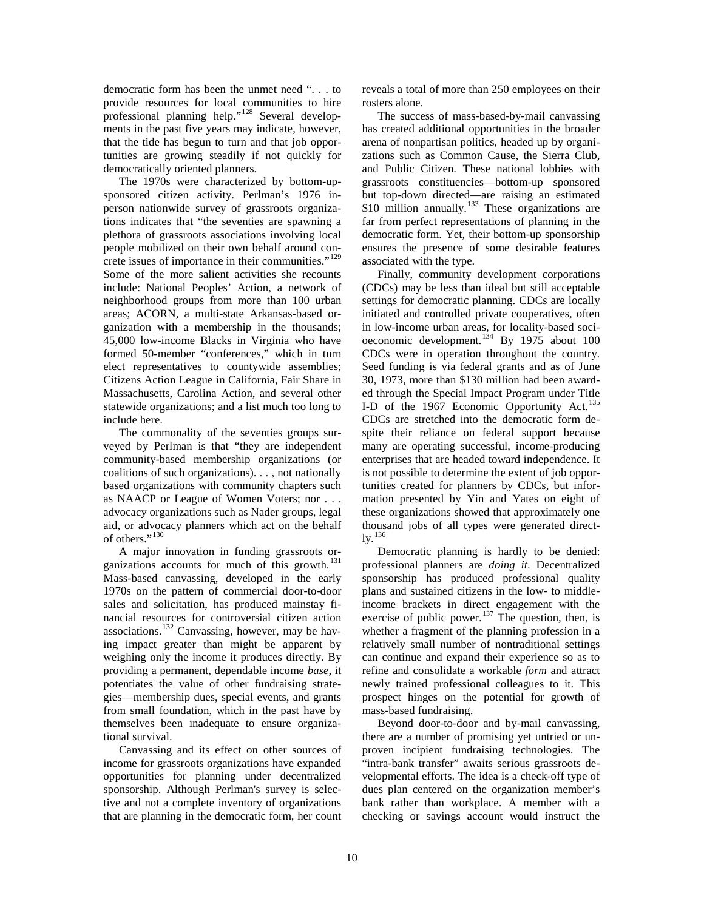democratic form has been the unmet need ". . . to provide resources for local communities to hire professional planning help."[128](#page-13-60) Several developments in the past five years may indicate, however, that the tide has begun to turn and that job opportunities are growing steadily if not quickly for democratically oriented planners.

The 1970s were characterized by bottom-upsponsored citizen activity. Perlman's 1976 inperson nationwide survey of grassroots organizations indicates that "the seventies are spawning a plethora of grassroots associations involving local people mobilized on their own behalf around con-crete issues of importance in their communities."<sup>[129](#page-13-87)</sup> Some of the more salient activities she recounts include: National Peoples' Action, a network of neighborhood groups from more than 100 urban areas; ACORN, a multi-state Arkansas-based organization with a membership in the thousands; 45,000 low-income Blacks in Virginia who have formed 50-member "conferences," which in turn elect representatives to countywide assemblies; Citizens Action League in California, Fair Share in Massachusetts, Carolina Action, and several other statewide organizations; and a list much too long to include here.

The commonality of the seventies groups surveyed by Perlman is that "they are independent community-based membership organizations (or coalitions of such organizations). . . , not nationally based organizations with community chapters such as NAACP or League of Women Voters; nor . . . advocacy organizations such as Nader groups, legal aid, or advocacy planners which act on the behalf of others."<sup>[130](#page-13-61)</sup>

A major innovation in funding grassroots or-ganizations accounts for much of this growth.<sup>[131](#page-13-88)</sup> Mass-based canvassing, developed in the early 1970s on the pattern of commercial door-to-door sales and solicitation, has produced mainstay financial resources for controversial citizen action associations.<sup>[132](#page-13-62)</sup> Canvassing, however, may be having impact greater than might be apparent by weighing only the income it produces directly. By providing a permanent, dependable income *base*, it potentiates the value of other fundraising strategies—membership dues, special events, and grants from small foundation, which in the past have by themselves been inadequate to ensure organizational survival.

Canvassing and its effect on other sources of income for grassroots organizations have expanded opportunities for planning under decentralized sponsorship. Although Perlman's survey is selective and not a complete inventory of organizations that are planning in the democratic form, her count

reveals a total of more than 250 employees on their rosters alone.

The success of mass-based-by-mail canvassing has created additional opportunities in the broader arena of nonpartisan politics, headed up by organizations such as Common Cause, the Sierra Club, and Public Citizen. These national lobbies with grassroots constituencies—bottom-up sponsored but top-down directed—are raising an estimated \$10 million annually.<sup>[133](#page-13-63)</sup> These organizations are far from perfect representations of planning in the democratic form. Yet, their bottom-up sponsorship ensures the presence of some desirable features associated with the type.

Finally, community development corporations (CDCs) may be less than ideal but still acceptable settings for democratic planning. CDCs are locally initiated and controlled private cooperatives, often in low-income urban areas, for locality-based soci-oeconomic development.<sup>[134](#page-13-64)</sup> By 1975 about 100 CDCs were in operation throughout the country. Seed funding is via federal grants and as of June 30, 1973, more than \$130 million had been awarded through the Special Impact Program under Title I-D of the 1967 Economic Opportunity Act.<sup>[135](#page-13-25)</sup> CDCs are stretched into the democratic form despite their reliance on federal support because many are operating successful, income-producing enterprises that are headed toward independence. It is not possible to determine the extent of job opportunities created for planners by CDCs, but information presented by Yin and Yates on eight of these organizations showed that approximately one thousand jobs of all types were generated direct- $\mathrm{lv.}^{136}$  $\mathrm{lv.}^{136}$  $\mathrm{lv.}^{136}$ 

Democratic planning is hardly to be denied: professional planners are *doing it*. Decentralized sponsorship has produced professional quality plans and sustained citizens in the low- to middleincome brackets in direct engagement with the exercise of public power. $137$  The question, then, is whether a fragment of the planning profession in a relatively small number of nontraditional settings can continue and expand their experience so as to refine and consolidate a workable *form* and attract newly trained professional colleagues to it. This prospect hinges on the potential for growth of mass-based fundraising.

Beyond door-to-door and by-mail canvassing, there are a number of promising yet untried or unproven incipient fundraising technologies. The "intra-bank transfer" awaits serious grassroots developmental efforts. The idea is a check-off type of dues plan centered on the organization member's bank rather than workplace. A member with a checking or savings account would instruct the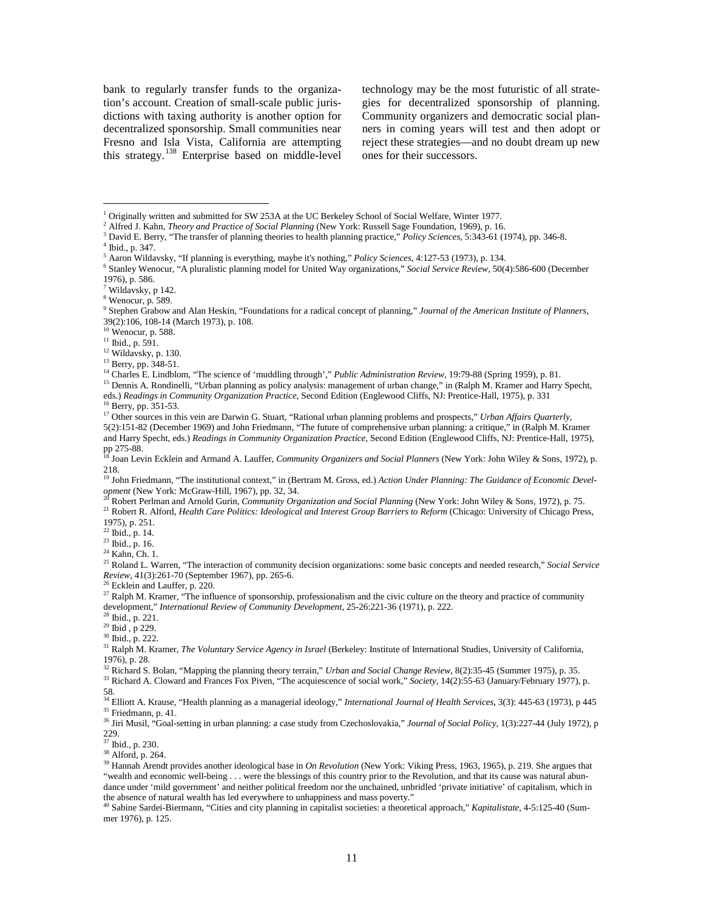bank to regularly transfer funds to the organization's account. Creation of small-scale public jurisdictions with taxing authority is another option for decentralized sponsorship. Small communities near Fresno and Isla Vista, California are attempting this strategy.<sup>[138](#page-13-28)</sup> Enterprise based on middle-level

technology may be the most futuristic of all strategies for decentralized sponsorship of planning. Community organizers and democratic social planners in coming years will test and then adopt or reject these strategies—and no doubt dream up new ones for their successors.

<sup>2</sup> Alfred J. Kahn, *Theory and Practice of Social Planning* (New York: Russell Sage Foundation, 1969), p. 16.<br><sup>3</sup> David E. Berry, "The transfer of planning theories to health planning practice," *Policy Sciences*, 5:343-6

 $\overline{a}$ 

 $^6$  Stanley Wenocur, "A pluralistic planning model for United Way organizations," Social Service Review, 50(4):586-600 (December 1976), p. 586.

 $23$  Ibid., p. 16.

<sup>24</sup> Kahn, Ch. 1.

<sup>25</sup> Roland L. Warren, "The interaction of community decision organizations: some basic concepts and needed research," *Social Service Review*, 41(3):261-70 (September 1967), pp. 265-6.

<sup>26</sup> Ecklein and Lauffer, p. 220.

<sup>27</sup> Ralph M. Kramer, "The influence of sponsorship, professionalism and the civic culture on the theory and practice of community development," *International Review of Community Development*, 25-26:221-36 (1971), p. 222.

 $^{28}$  Ibid., p. 221.<br> $^{29}$  Ibid., p 229.

<sup>30</sup> Ibid., p. 222.

<sup>31</sup> Ralph M. Kramer, *The Voluntary Service Agency in Israel* (Berkeley: Institute of International Studies, University of California, 1976), p. 28.

<sup>32</sup> Richard S. Bolan, "Mapping the planning theory terrain," *Urban and Social Change Review*, 8(2):35-45 (Summer 1975), p. 35.

<sup>33</sup> Richard A. Cloward and Frances Fox Piven, "The acquiescence of social work," Society, 14(2):55-63 (January/February 1977), p. 58.

<sup>34</sup> Elliott A. Krause, "Health planning as a managerial ideology," *International Journal of Health Services*, 3(3): 445-63 (1973), p 445 <sup>35</sup> Friedmann, p. 41.

<sup>36</sup> Jiri Musil, "Goal-setting in urban planning: a case study from Czechoslovakia," *Journal of Social Policy*, 1(3):227-44 (July 1972), p 229.

 $37$  Ibid., p. 230.<br> $38$  Alford, p. 264.

<sup>39</sup> Hannah Arendt provides another ideological base in *On Revolution* (New York: Viking Press, 1963, 1965), p. 219. She argues that "wealth and economic well-being . . . were the blessings of this country prior to the Revolution, and that its cause was natural abundance under 'mild government' and neither political freedom nor the unchained, unbridled 'private initiative' of capitalism, which in the absence of natural wealth has led everywhere to unhappiness and mass poverty."

<sup>40</sup> Sabine Sardei-Biermann, "Cities and city planning in capitalist societies: a theoretical approach," *Kapitalistate*, 4-5:125-40 (Summer 1976), p. 125.

<sup>1</sup> Originally written and submitted for SW 253A at the UC Berkeley School of Social Welfare, Winter 1977.

<sup>4</sup> Ibid., p. 347.<br>5 Aaron Wildavsky, "If planning is everything, maybe it's nothing," *Policy Sciences*, 4:127-53 (1973), p. 134.

<sup>7</sup> Wildavsky, p 142.

 $8$  Wenocur, p. 589.

<sup>9</sup> Stephen Grabow and Alan Heskin, "Foundations for a radical concept of planning," *Journal of the American Institute of Planners*, 39(2):106, 108-14 (March 1973), p. 108. <sup>10</sup> Wenocur, p. 588.

 $^{11}$  Ibid., p. 591.<br> $^{12}$  Wildavsky, p. 130.

<sup>&</sup>lt;sup>13</sup> Berry, pp. 348-51.

<sup>&</sup>lt;sup>14</sup> Charles E. Lindblom, "The science of 'muddling through'," *Public Administration Review*, 19:79-88 (Spring 1959), p. 81.

<sup>&</sup>lt;sup>15</sup> Dennis A. Rondinelli, "Urban planning as policy analysis: management of urban change," in (Ralph M. Kramer and Harry Specht, eds.) *Readings in Community Organization Practice*, Second Edition (Englewood Cliffs, NJ: Prentice-Hall, 1975), p. 331

<sup>&</sup>lt;sup>17</sup> Other sources in this vein are Darwin G. Stuart, "Rational urban planning problems and prospects," *Urban Affairs Quarterly*, 5(2):151-82 (December 1969) and John Friedmann, "The future of comprehensive urban planning: a critique," in (Ralph M. Kramer and Harry Specht, eds.) *Readings in Community Organization Practice*, Second Edition (Englewood Cliffs, NJ: Prentice-Hall, 1975), pp 275-88.<br><sup>18</sup> Joan Levin Ecklein and Armand A. Lauffer, *Community Organizers and Social Planners* (New York: John Wiley & Sons, 1972), p.

<sup>218.</sup> <sup>19</sup> John Friedmann, "The institutional context," in (Bertram M. Gross, ed.) *Action Under Planning: The Guidance of Economic Development* (New York: McGraw-Hill, 1967), pp. 32, 34.<br><sup>20</sup> Robert Perlman and Arnold Gurin, *Community Organization and Social Planning* (New York: John Wiley & Sons, 1972), p. 75.

<sup>&</sup>lt;sup>21</sup> Robert R. Alford, *Health Care Politics: Ideological and Interest Group Barriers to Reform* (Chicago: University of Chicago Press, 1975), p. 251.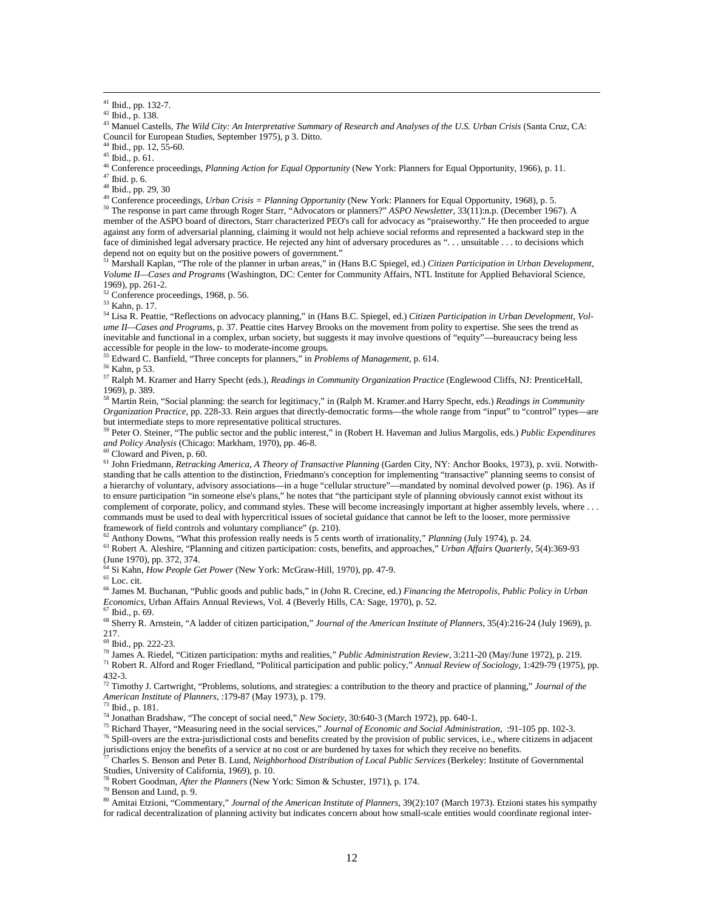<sup>43</sup> Manuel Castells, *The Wild City: An Interpretative Summary of Research and Analyses of the U.S. Urban Crisis* (Santa Cruz, CA: Council for European Studies, September 1975), p 3. Ditto.

 $^{44}$  Ibid., pp. 12, 55-60.<br> $^{45}$  Ibid., p. 61.

 $\overline{a}$ 

<sup>46</sup> Conference proceedings, *Planning Action for Equal Opportunity* (New York: Planners for Equal Opportunity, 1966), p. 11.<br><sup>47</sup> Ibid. p. 6.

<sup>48</sup> Ibid., pp. 29, 30

<span id="page-11-1"></span><span id="page-11-0"></span><sup>49</sup> Conference proceedings, *Urban Crisis = Planning Opportunity* (New York: Planners for Equal Opportunity, 1968), p. 5. <sup>50</sup> The response in part came through Roger Starr, "Advocators or planners?" *ASPO Newsletter*, 33(11):n.p. (December 1967). A member of the ASPO board of directors, Starr characterized PEO's call for advocacy as "praiseworthy." He then proceeded to argue against any form of adversarial planning, claiming it would not help achieve social reforms and represented a backward step in the face of diminished legal adversary practice. He rejected any hint of adversary procedures as ". . . unsuitable . . . to decisions which depend not on equity but on the positive powers of government."

<span id="page-11-4"></span><span id="page-11-3"></span><span id="page-11-2"></span><sup>51</sup> Marshall Kaplan, "The role of the planner in urban areas," in (Hans B.C Spiegel, ed.) *Citizen Participation in Urban Development, Volume II—Cases and Programs* (Washington, DC: Center for Community Affairs, NTL Institute for Applied Behavioral Science, 1969), pp. 261-2.

 $52$  Conference proceedings, 1968, p. 56.<br> $53$  Kahn, p. 17.

<sup>54</sup> Lisa R. Peattie, "Reflections on advocacy planning," in (Hans B.C. Spiegel, ed.) *Citizen Participation in Urban Development, Volume II—Cases and Programs*, p. 37. Peattie cites Harvey Brooks on the movement from polity to expertise. She sees the trend as inevitable and functional in a complex, urban society, but suggests it may involve questions of "equity"—bureaucracy being less accessible for people in the low- to moderate-income groups.<br><sup>55</sup> Educard G, Bertial at the st

<sup>55</sup> Edward C. Banfield, "Three concepts for planners," in *Problems of Management*, p. 614.<br><sup>56</sup> Kahn, p 53.

<sup>56</sup> Kahn, p 53. <sup>57</sup> Ralph M. Kramer and Harry Specht (eds.), *Readings in Community Organization Practice* (Englewood Cliffs, NJ: PrenticeHall, 1969), p. 389.

<sup>58</sup> Martin Rein, "Social planning: the search for legitimacy," in (Ralph M. Kramer.and Harry Specht, eds.) *Readings in Community Organization Practice*, pp. 228-33. Rein argues that directly-democratic forms—the whole range from "input" to "control" types—are but intermediate steps to more representative political structures.

<sup>59</sup> Peter O. Steiner, "The public sector and the public interest," in (Robert H. Haveman and Julius Margolis, eds.) *Public Expenditures and Policy Analysis* (Chicago: Markham, 1970), pp. 46-8.

<sup>60</sup> Cloward and Piven, p. 60.

<sup>61</sup> John Friedmann, *Retracking America, A Theory of Transactive Planning* (Garden City, NY: Anchor Books, 1973), p. xvii. Notwithstanding that he calls attention to the distinction, Friedmann's conception for implementing "transactive" planning seems to consist of a hierarchy of voluntary, advisory associations—in a huge "cellular structure"—mandated by nominal devolved power (p. 196). As if to ensure participation "in someone else's plans," he notes that "the participant style of planning obviously cannot exist without its complement of corporate, policy, and command styles. These will become increasingly important at higher assembly levels, where . commands must be used to deal with hypercritical issues of societal guidance that cannot be left to the looser, more permissive framework of field controls and voluntary compliance" (p. 210).

<sup>62</sup> Anthony Downs, "What this profession really needs is 5 cents worth of irrationality," *Planning* (July 1974), p. 24.

<sup>63</sup> Robert A. Aleshire, "Planning and citizen participation: costs, benefits, and approaches," *Urban Affairs Quarterly*, 5(4):369-93 (June 1970), pp. 372, 374.

<sup>64</sup> Si Kahn, *How People Get Power* (New York: McGraw-Hill, 1970), pp. 47-9.<br><sup>65</sup> Loc. cit.

<sup>66</sup> James M. Buchanan, "Public goods and public bads," in (John R. Crecine, ed.) *Financing the Metropolis, Public Policy in Urban Economics*, Urban Affairs Annual Reviews, Vol. 4 (Beverly Hills, CA: Sage, 1970), p. 52.

<sup>67</sup> Ibid., p. 69.

<sup>68</sup> Sherry R. Arnstein, "A ladder of citizen participation," *Journal of the American Institute of Planners*, 35(4):216-24 (July 1969), p. 217.

<sup>69</sup> Ibid., pp. 222-23.<br><sup>70</sup> James A. Riedel, "Citizen participation: myths and realities," *Public Administration Review*, 3:211-20 (May/June 1972), p. 219.

<sup>71</sup> Robert R. Alford and Roger Friedland, "Political participation and public policy," Annual Review of Sociology, 1:429-79 (1975), pp. 432-3.

<sup>72</sup> Timothy J. Cartwright, "Problems, solutions, and strategies: a contribution to the theory and practice of planning," *Journal of the American Institute of Planners*, :179-87 (May 1973), p. 179.

<sup>74</sup> Jonathan Bradshaw, "The concept of social need," *New Society*, 30:640-3 (March 1972), pp. 640-1.

<sup>75</sup> Richard Thayer, "Measuring need in the social services," *Journal of Economic and Social Administration*, :91-105 pp. 102-3. <sup>76</sup> Spill-overs are the extra-jurisdictional costs and benefits created by the provision of public services, i.e., where citizens in adjacent jurisdictions enjoy the benefits of a service at no cost or are burdened by taxes for which they receive no benefits.

<sup>77</sup> Charles S. Benson and Peter B. Lund, *Neighborhood Distribution of Local Public Services* (Berkeley: Institute of Governmental Studies, University of California, 1969), p. 10.

<sup>78</sup> Robert Goodman, *After the Planners* (New York: Simon & Schuster, 1971), p. 174. 79 Benson and Lund, p. 9.

<sup>80</sup> Amitai Etzioni, "Commentary," *Journal of the American Institute of Planners*, 39(2):107 (March 1973). Etzioni states his sympathy for radical decentralization of planning activity but indicates concern about how small-scale entities would coordinate regional inter-

<sup>41</sup> Ibid., pp. 132-7.

<sup>42</sup> Ibid., p. 138.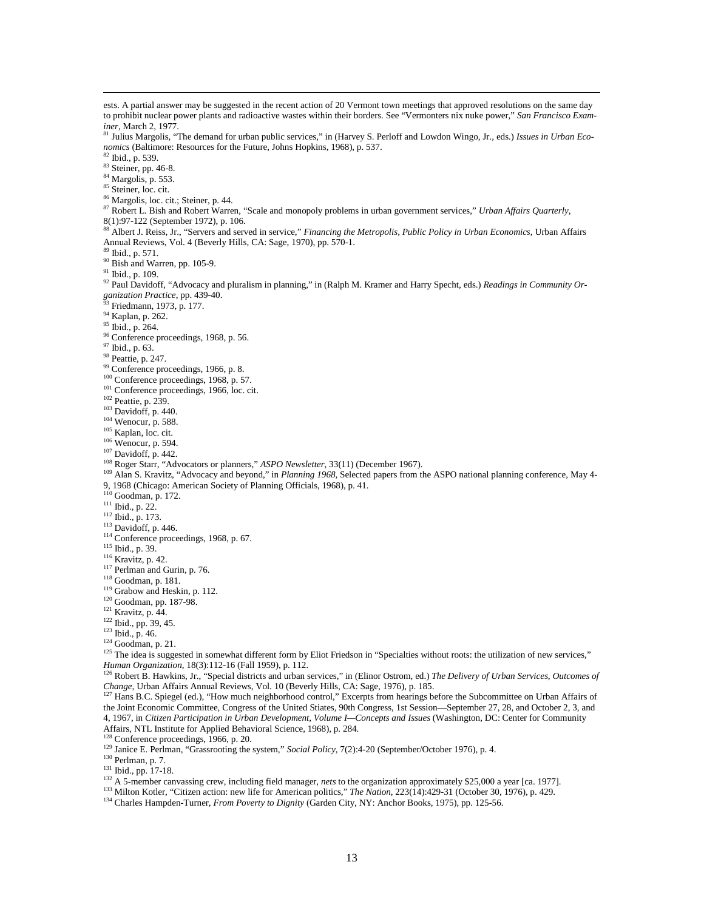<span id="page-12-9"></span><span id="page-12-8"></span><span id="page-12-7"></span><span id="page-12-6"></span><span id="page-12-5"></span><span id="page-12-4"></span><span id="page-12-3"></span><span id="page-12-2"></span><span id="page-12-1"></span><span id="page-12-0"></span> $\overline{a}$ ests. A partial answer may be suggested in the recent action of 20 Vermont town meetings that approved resolutions on the same day to prohibit nuclear power plants and radioactive wastes within their borders. See "Vermonters nix nuke power," *San Francisco Exam-*<sup>81</sup> Julius Margolis, "The demand for urban public services," in (Harvey S. Perloff and Lowdon Wingo, Jr., eds.) *Issues in Urban Economics* (Baltimore: Resources for the Future, Johns Hopkins, 1968), p. 537.<br><sup>82</sup> Ibid., p. 539.  $rac{83}{84}$  Steiner, pp. 46-8.<br> $rac{84}{84}$  Margolis, p. 553. <sup>85</sup> Steiner, loc. cit. <sup>86</sup> Margolis, loc. cit.; Steiner, p. 44. <sup>87</sup> Robert L. Bish and Robert Warren, "Scale and monopoly problems in urban government services," *Urban Affairs Quarterly*, 8(1):97-122 (September 1972), p. 106. <sup>88</sup> Albert J. Reiss, Jr., "Servers and served in service," *Financing the Metropolis, Public Policy in Urban Economics*, Urban Affairs Annual Reviews, Vol. 4 (Beverly Hills, CA: Sage, 1970), pp. 570-1. <sup>89</sup> Ibid., p. 571.  $\frac{90}{91}$  Bish and Warren, pp. 105-9.<br><sup>91</sup> Ibid., p. 109. <sup>92</sup> Paul Davidoff, "Advocacy and pluralism in planning," in (Ralph M. Kramer and Harry Specht, eds.) *Readings in Community Organization Practice*, pp. 439-40.<br><sup>93</sup> Friedmann, 1973, p. 177.<br><sup>94</sup> Kaplan, p. 262. <sup>95</sup> Ibid., p. 264.  $\frac{96}{97}$  Conference proceedings, 1968, p. 56.  $\frac{97}{7}$  Ibid., p. 63.  $\frac{98}{99}$  Peattie, p. 247.<br> $\frac{99}{99}$  Conference proceedings, 1966, p. 8.  $^{100}$  Conference proceedings, 1968, p. 57.  $101$  Conference proceedings, 1966, loc. cit.<br> $102$  Peattie, p. 239.  $103$  Davidoff, p. 440.  $104$  Wenocur, p. 588.<br> $105$  Kaplan, loc. cit.  $106$  Wenocur, p. 594. <sup>107</sup> Davidoff, p. 442.<br><sup>108</sup> Roger Starr, "Advocators or planners," *ASPO Newsletter*, 33(11) (December 1967). <sup>109</sup> Alan S. Kravitz, "Advocacy and beyond," in Planning 1968, Selected papers from the ASPO national planning conference, May 4-9, 1968 (Chicago: American Society of Planning Officials, 1968), p. 41.  $110$  Goodman, p. 172.<br><sup>111</sup> Ibid., p. 22. <sup>112</sup> Ibid., p. 173.<br><sup>113</sup> Davidoff, p. 446.  $114$  Conference proceedings, 1968, p. 67.  $^{115}$  Ibid., p. 39.<br> $^{116}$  Kravitz, p. 42.  $117$  Perlman and Gurin, p. 76. <sup>118</sup> Goodman, p. 181.  $119$  Grabow and Heskin, p. 112.<br> $120$  Goodman, pp. 187-98. <sup>121</sup> Kravitz, p. 44.  $122$  Ibid., pp. 39, 45.<br><sup>123</sup> Ibid., p. 46. <sup>124</sup> Goodman, p. 21. <sup>125</sup> The idea is suggested in somewhat different form by Eliot Friedson in "Specialties without roots: the utilization of new services," *Human Organization*, 18(3):112-16 (Fall 1959), p. 112. <sup>126</sup> Robert B. Hawkins, Jr., "Special districts and urban services," in (Elinor Ostrom, ed.) *The Delivery of Urban Services, Outcomes of Change*, Urban Affairs Annual Reviews, Vol. 10 (Beverly Hills, CA: Sage, 1976), p. 185. 127 Hans B.C. Spiegel (ed.), "How much neighborhood control," Excerpts from hearings before the Subcommittee on Urban Affairs of <sup>127</sup> the Joint Economic Committee, Congress of the United Stiates, 90th Congress, 1st Session—September 27, 28, and October 2, 3, and 4, 1967, in *Citizen Participation in Urban Development, Volume I—Concepts and Issues* (Washington, DC: Center for Community Affairs, NTL Institute for Applied Behavioral Science, 1968), p. 284.

<sup>129</sup> Janice E. Perlman, "Grassrooting the system," *Social Policy*, 7(2):4-20 (September/October 1976), p. 4.

 $^{130}$  Perlman, p. 7.<br> $^{131}$  Ibid., pp. 17-18.

<sup>132</sup> A 5-member canvassing crew, including field manager, *nets* to the organization approximately \$25,000 a year [ca. 1977].

<sup>133</sup> Milton Kotler, "Citizen action: new life for American politics," *The Nation*, 223(14):429-31 (October 30, 1976), p. 429.

<sup>134</sup> Charles Hampden-Turner, *From Poverty to Dignity* (Garden City, NY: Anchor Books, 1975), pp. 125-56.

13